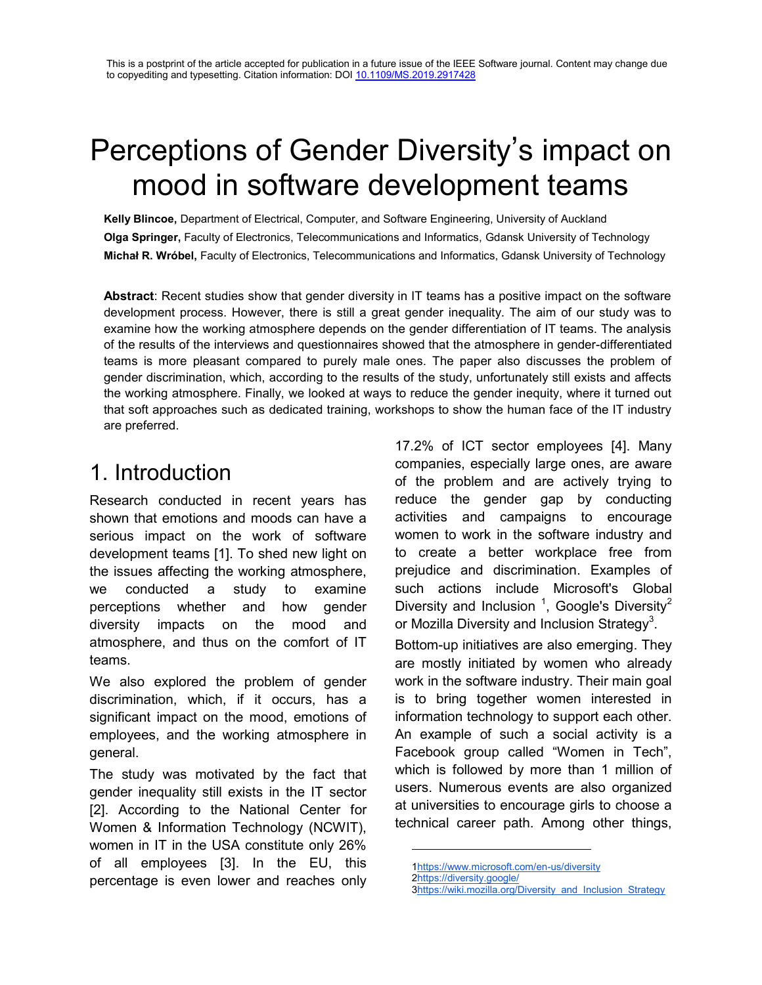# Perceptions of Gender Diversity's impact on mood in software development teams

**Kelly Blincoe,** Department of Electrical, Computer, and Software Engineering, University of Auckland **Olga Springer,** Faculty of Electronics, Telecommunications and Informatics, Gdansk University of Technology **Michał R. Wróbel,** Faculty of Electronics, Telecommunications and Informatics, Gdansk University of Technology

**Abstract**: Recent studies show that gender diversity in IT teams has a positive impact on the software development process. However, there is still a great gender inequality. The aim of our study was to examine how the working atmosphere depends on the gender differentiation of IT teams. The analysis of the results of the interviews and questionnaires showed that the atmosphere in gender-differentiated teams is more pleasant compared to purely male ones. The paper also discusses the problem of gender discrimination, which, according to the results of the study, unfortunately still exists and affects the working atmosphere. Finally, we looked at ways to reduce the gender inequity, where it turned out that soft approaches such as dedicated training, workshops to show the human face of the IT industry are preferred.

### 1. Introduction

Research conducted in recent years has shown that emotions and moods can have a serious impact on the work of software development teams [1]. To shed new light on the issues affecting the working atmosphere, we conducted a study to examine perceptions whether and how gender diversity impacts on the mood and atmosphere, and thus on the comfort of IT teams.

We also explored the problem of gender discrimination, which, if it occurs, has a significant impact on the mood, emotions of employees, and the working atmosphere in general.

The study was motivated by the fact that gender inequality still exists in the IT sector [2]. According to the National Center for Women & Information Technology (NCWIT), women in IT in the USA constitute only 26% of all employees [3]. In the EU, this percentage is even lower and reaches only

17.2% of ICT sector employees [4]. Many companies, especially large ones, are aware of the problem and are actively trying to reduce the gender gap by conducting activities and campaigns to encourage women to work in the software industry and to create a better workplace free from prejudice and discrimination. Examples of such actions include Microsoft's Global Diversity and Inclusion  $1$ , Google's Diversity<sup>2</sup> or Mozilla Diversity and Inclusion Strategy $^3$ .

Bottom-up initiatives are also emerging. They are mostly initiated by women who already work in the software industry. Their main goal is to bring together women interested in information technology to support each other. An example of such a social activity is a Facebook group called "Women in Tech", which is followed by more than 1 million of users. Numerous events are also organized at universities to encourage girls to choose a technical career path. Among other things,

 $\overline{a}$ 

[<sup>1</sup>https://www.microsoft.com/en-us/diversity](https://www.microsoft.com/en-us/diversity)

[<sup>2</sup>https://diversity.google/](https://diversity.google/)

[<sup>3</sup>https://wiki.mozilla.org/Diversity\\_and\\_Inclusion\\_Strategy](https://wiki.mozilla.org/Diversity_and_Inclusion_Strategy)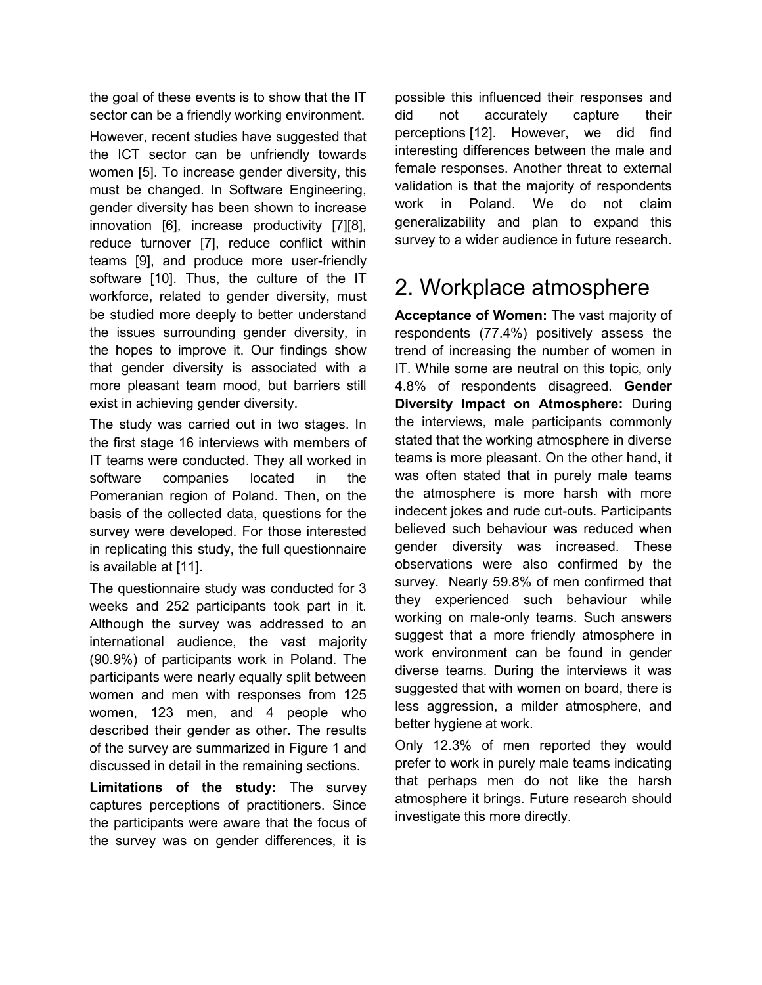the goal of these events is to show that the IT sector can be a friendly working environment.

However, recent studies have suggested that the ICT sector can be unfriendly towards women [5]. To increase gender diversity, this must be changed. In Software Engineering, gender diversity has been shown to increase innovation [6], increase productivity [7][8], reduce turnover [7], reduce conflict within teams [9], and produce more user-friendly software [10]. Thus, the culture of the IT workforce, related to gender diversity, must be studied more deeply to better understand the issues surrounding gender diversity, in the hopes to improve it. Our findings show that gender diversity is associated with a more pleasant team mood, but barriers still exist in achieving gender diversity.

The study was carried out in two stages. In the first stage 16 interviews with members of IT teams were conducted. They all worked in software companies located in the Pomeranian region of Poland. Then, on the basis of the collected data, questions for the survey were developed. For those interested in replicating this study, the full questionnaire is available at [11].

The questionnaire study was conducted for 3 weeks and 252 participants took part in it. Although the survey was addressed to an international audience, the vast majority (90.9%) of participants work in Poland. The participants were nearly equally split between women and men with responses from 125 women, 123 men, and 4 people who described their gender as other. The results of the survey are summarized in Figure 1 and discussed in detail in the remaining sections.

**Limitations of the study:** The survey captures perceptions of practitioners. Since the participants were aware that the focus of the survey was on gender differences, it is

possible this influenced their responses and did not accurately capture their perceptions [12]. However, we did find interesting differences between the male and female responses. Another threat to external validation is that the majority of respondents work in Poland. We do not claim generalizability and plan to expand this survey to a wider audience in future research.

## 2. Workplace atmosphere

**Acceptance of Women:** The vast majority of respondents (77.4%) positively assess the trend of increasing the number of women in IT. While some are neutral on this topic, only 4.8% of respondents disagreed. **Gender Diversity Impact on Atmosphere:** During the interviews, male participants commonly stated that the working atmosphere in diverse teams is more pleasant. On the other hand, it was often stated that in purely male teams the atmosphere is more harsh with more indecent jokes and rude cut-outs. Participants believed such behaviour was reduced when gender diversity was increased. These observations were also confirmed by the survey. Nearly 59.8% of men confirmed that they experienced such behaviour while working on male-only teams. Such answers suggest that a more friendly atmosphere in work environment can be found in gender diverse teams. During the interviews it was suggested that with women on board, there is less aggression, a milder atmosphere, and better hygiene at work.

Only 12.3% of men reported they would prefer to work in purely male teams indicating that perhaps men do not like the harsh atmosphere it brings. Future research should investigate this more directly.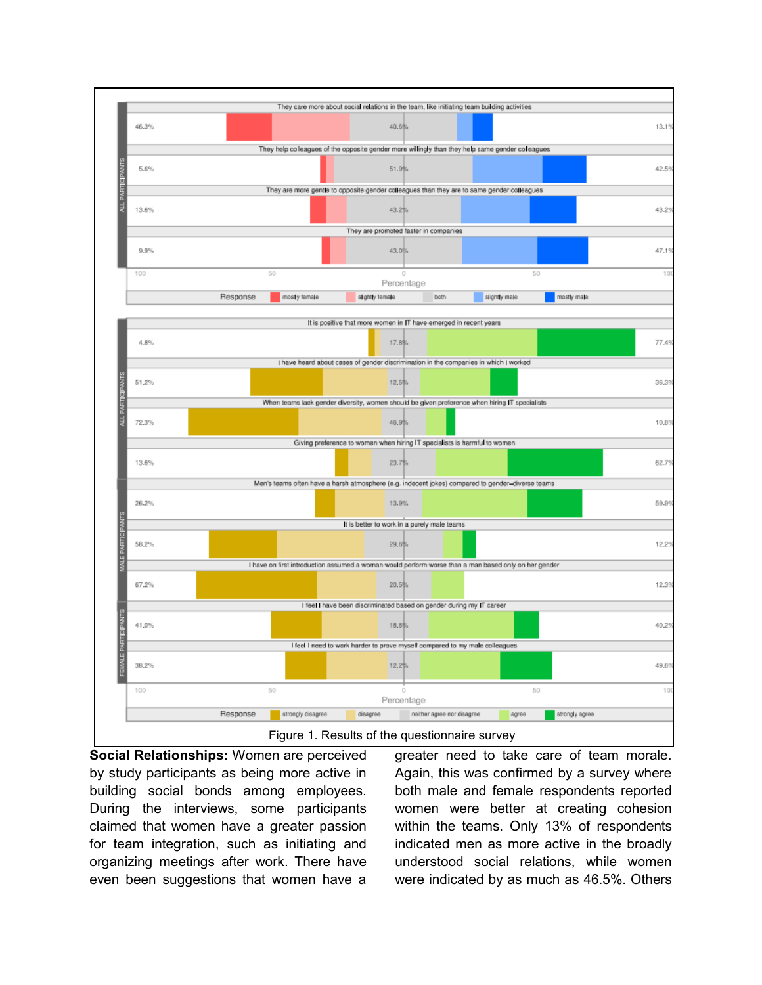

**Social Relationships:** Women are perceived by study participants as being more active in building social bonds among employees. During the interviews, some participants claimed that women have a greater passion for team integration, such as initiating and organizing meetings after work. There have even been suggestions that women have a greater need to take care of team morale. Again, this was confirmed by a survey where both male and female respondents reported women were better at creating cohesion within the teams. Only 13% of respondents indicated men as more active in the broadly understood social relations, while women were indicated by as much as 46.5%. Others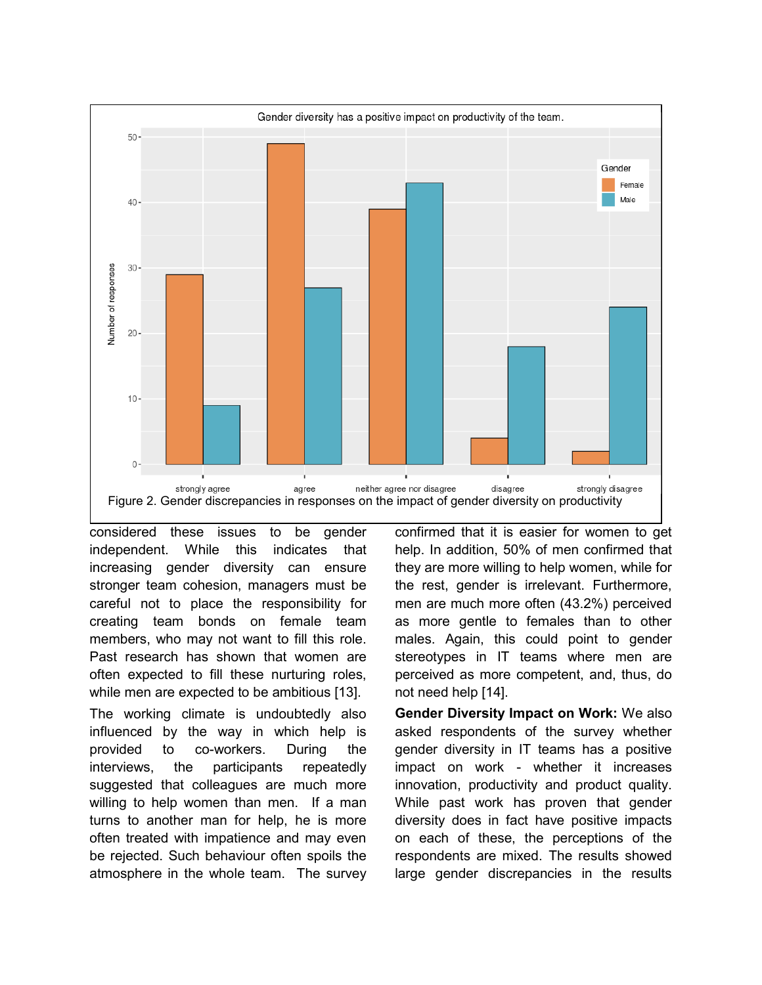

considered these issues to be gender independent. While this indicates that increasing gender diversity can ensure stronger team cohesion, managers must be careful not to place the responsibility for creating team bonds on female team members, who may not want to fill this role. Past research has shown that women are often expected to fill these nurturing roles, while men are expected to be ambitious [13].

The working climate is undoubtedly also influenced by the way in which help is provided to co-workers. During the interviews, the participants repeatedly suggested that colleagues are much more willing to help women than men. If a man turns to another man for help, he is more often treated with impatience and may even be rejected. Such behaviour often spoils the atmosphere in the whole team. The survey

confirmed that it is easier for women to get help. In addition, 50% of men confirmed that they are more willing to help women, while for the rest, gender is irrelevant. Furthermore, men are much more often (43.2%) perceived as more gentle to females than to other males. Again, this could point to gender stereotypes in IT teams where men are perceived as more competent, and, thus, do not need help [14].

**Gender Diversity Impact on Work:** We also asked respondents of the survey whether gender diversity in IT teams has a positive impact on work - whether it increases innovation, productivity and product quality. While past work has proven that gender diversity does in fact have positive impacts on each of these, the perceptions of the respondents are mixed. The results showed large gender discrepancies in the results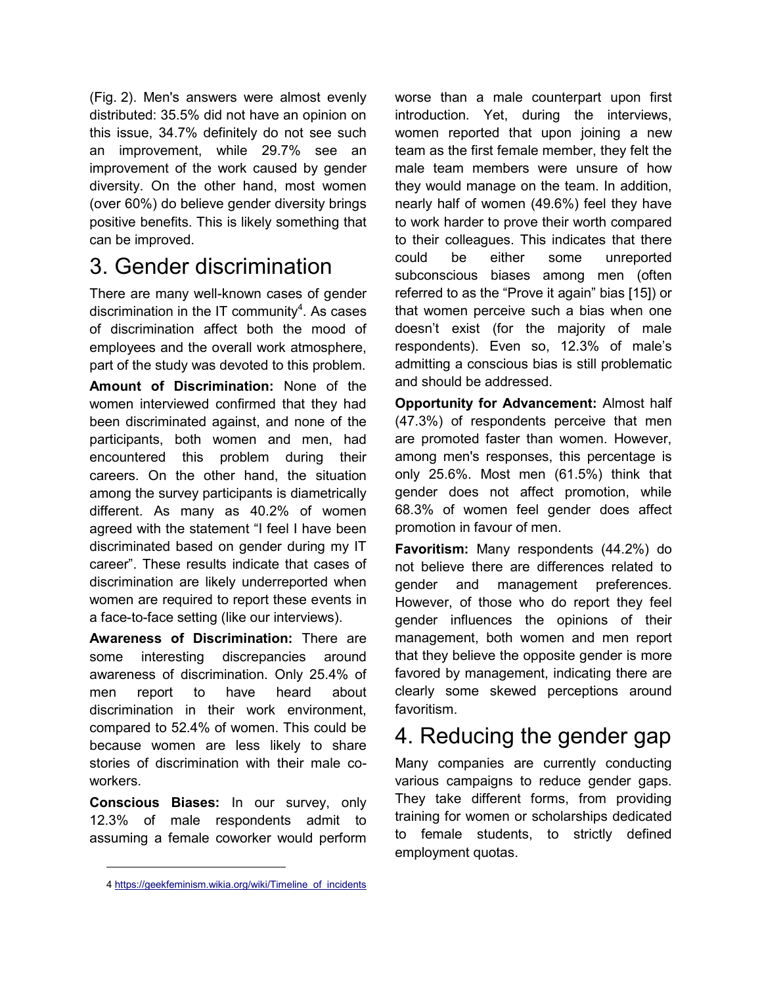(Fig. 2). Men's answers were almost evenly distributed: 35.5% did not have an opinion on this issue, 34.7% definitely do not see such an improvement, while 29.7% see an improvement of the work caused by gender diversity. On the other hand, most women (over 60%) do believe gender diversity brings positive benefits. This is likely something that can be improved.

# 3. Gender discrimination

There are many well-known cases of gender discrimination in the IT community $4$ . As cases of discrimination affect both the mood of employees and the overall work atmosphere, part of the study was devoted to this problem.

**Amount of Discrimination:** None of the women interviewed confirmed that they had been discriminated against, and none of the participants, both women and men, had encountered this problem during their careers. On the other hand, the situation among the survey participants is diametrically different. As many as 40.2% of women agreed with the statement "I feel I have been discriminated based on gender during my IT career". These results indicate that cases of discrimination are likely underreported when women are required to report these events in a face-to-face setting (like our interviews).

**Awareness of Discrimination:** There are some interesting discrepancies around awareness of discrimination. Only 25.4% of men report to have heard about discrimination in their work environment, compared to 52.4% of women. This could be because women are less likely to share stories of discrimination with their male coworkers.

**Conscious Biases:** In our survey, only 12.3% of male respondents admit to assuming a female coworker would perform

 $\overline{a}$ 

worse than a male counterpart upon first introduction. Yet, during the interviews, women reported that upon joining a new team as the first female member, they felt the male team members were unsure of how they would manage on the team. In addition, nearly half of women (49.6%) feel they have to work harder to prove their worth compared to their colleagues. This indicates that there could be either some unreported subconscious biases among men (often referred to as the "Prove it again" bias [15]) or that women perceive such a bias when one doesn't exist (for the majority of male respondents). Even so, 12.3% of male's admitting a conscious bias is still problematic and should be addressed.

**Opportunity for Advancement:** Almost half (47.3%) of respondents perceive that men are promoted faster than women. However, among men's responses, this percentage is only 25.6%. Most men (61.5%) think that gender does not affect promotion, while 68.3% of women feel gender does affect promotion in favour of men.

**Favoritism:** Many respondents (44.2%) do not believe there are differences related to gender and management preferences. However, of those who do report they feel gender influences the opinions of their management, both women and men report that they believe the opposite gender is more favored by management, indicating there are clearly some skewed perceptions around favoritism.

## 4. Reducing the gender gap

Many companies are currently conducting various campaigns to reduce gender gaps. They take different forms, from providing training for women or scholarships dedicated to female students, to strictly defined employment quotas.

<sup>4</sup> [https://geekfeminism.wikia.org/wiki/Timeline\\_of\\_incidents](https://geekfeminism.wikia.org/wiki/Timeline_of_incidents)